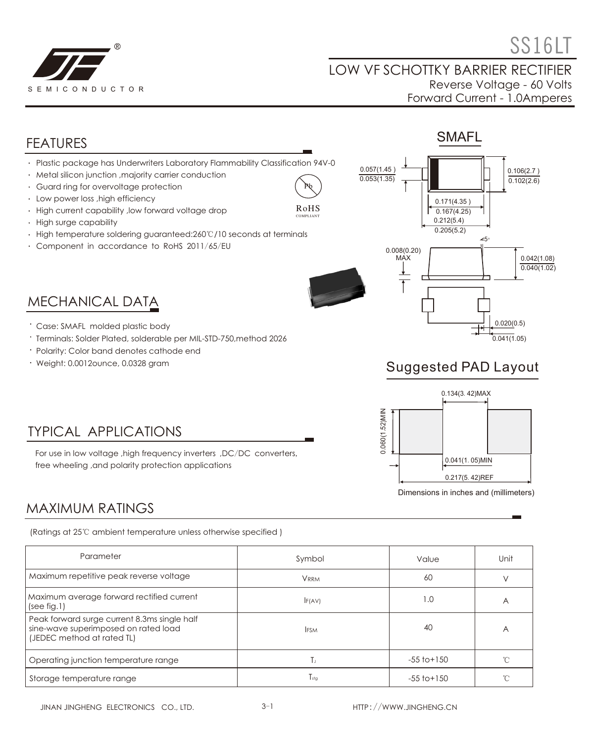

 $\textcircled{\tiny{\text{}}}\textcircled{\tiny{\text{}}}\textcircled{\tiny{\text{}}}\textcircled{\tiny{\text{}}}\textcircled{\tiny{\text{}}}\textcircled{\tiny{\text{}}}\textcircled{\tiny{\text{}}}\textcircled{\tiny{\text{}}}\textcircled{\tiny{\text{}}}\textcircled{\tiny{\text{}}}\textcircled{\tiny{\text{}}}\textcircled{\tiny{\text{}}}\textcircled{\tiny{\text{}}}\textcircled{\tiny{\text{}}}\textcircled{\tiny{\text{}}}\textcircled{\tiny{\text{}}}\textcircled{\tiny{\text{}}}\textcircled{\tiny{\text{}}}\textcircled{\tiny{\text{}}}\textcircled{\tiny{\text{}}}\textcircled{\tiny{\text{}}}\textcircled{\tiny{\text{}}$ 

 $0.106(2.7)$  $0.102(2.6)$ 

> 0.042(1.08)  $0.040(1.02)$

0.020(0.5)  $0.041(1.05)$ 

#### LOW VF SCHOTTKY BARRIER RECTIFIER Reverse Voltage - 60 Volts Forward Current - 1.0Amperes

SMAFL

0.171(4.35 )  $0.167(4.25)$  $0.212(5.4)$  $0.205(5.2)$ 

 $25<sub>°</sub>$ 

## FEATURES

- Plastic package has Underwriters Laboratory Flammability Classification 94V-0
- Metal silicon junction ,majority carrier conduction
- Guard ring for overvoltage protection
- Low power loss ,high efficiency
- High current capability ,low forward voltage drop
- High surge capability
- High temperature soldering guaranteed:260℃/10 seconds at terminals
- Component in accordance to RoHS 2011/65/EU



 $0.057(1.45)$  $0.053(1.35)$ 

> 0.008(0.20) MAX

Pb RoHS COMPLIANT

MECHANICAL DATA

- Case: SMAFL molded plastic body
- Terminals: Solder Plated, solderable per MIL-STD-750,method 2026
- Polarity: Color band denotes cathode end
- Weight: 0.0012ounce, 0.0328 gram





## TYPICAL APPLICATIONS

For use in low voltage ,high frequency inverters ,DC/DC converters, free wheeling ,and polarity protection applications

## MAXIMUM RATINGS

(Ratings at 25℃ ambient temperature unless otherwise specified )

| Parameter                                                                                                          | Symbol           | Value           | Unit           |
|--------------------------------------------------------------------------------------------------------------------|------------------|-----------------|----------------|
| Maximum repetitive peak reverse voltage                                                                            | <b>VRRM</b>      | 60              |                |
| Maximum average forward rectified current<br>(see fig.1)                                                           | F(AV)            | 1.0             | $\overline{A}$ |
| Peak forward surge current 8.3ms single half<br>sine-wave superimposed on rated load<br>(JEDEC method at rated TL) | <b>IFSM</b>      | 40              | A              |
| Operating junction temperature range                                                                               | Тı               | $-55$ to $+150$ |                |
| Storage temperature range                                                                                          | $T_{\text{stg}}$ | $-55$ to $+150$ |                |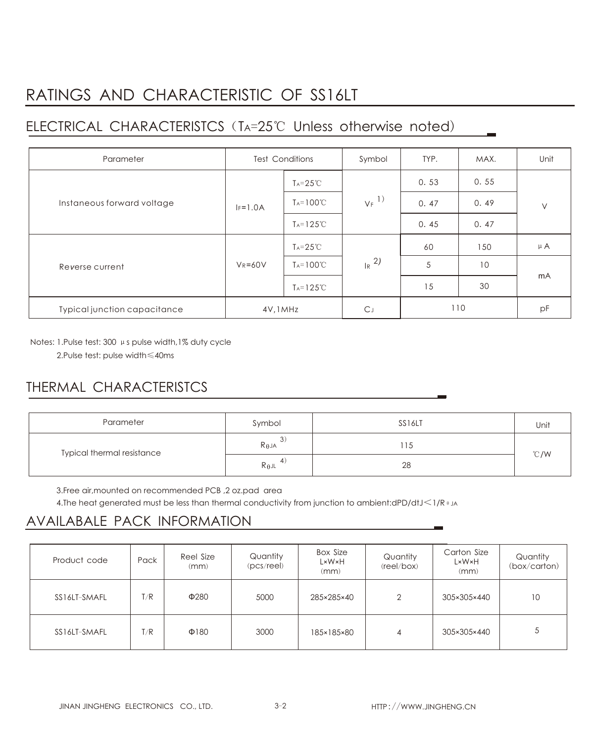# RATINGS AND CHARACTERISTIC OF SS16LT

## ELECTRICAL CHARACTERISTCS (TA=25℃ Unless otherwise noted)

| Parameter                    | <b>Test Conditions</b> |                       | Symbol              | TYP. | MAX. | Unit    |
|------------------------------|------------------------|-----------------------|---------------------|------|------|---------|
| Instaneous forward voltage   |                        | $T_A = 25^{\circ}$ C  | $V_F$ <sup>1)</sup> | 0.53 | 0.55 | $\vee$  |
|                              | $IF=1.0A$              | $T_A = 100^{\circ}C$  |                     | 0.47 | 0.49 |         |
|                              |                        | $T_A = 125^{\circ}$ C |                     | 0.45 | 0.47 |         |
| Reverse current              | $V_R = 60V$            | $T_A = 25^{\circ}C$   | $R^{2}$             | 60   | 150  | $\mu$ A |
|                              |                        | $T_A = 100^{\circ}C$  |                     | 5    | 10   | mA      |
|                              |                        | $T_A = 125^{\circ}C$  |                     | 15   | 30   |         |
| Typical junction capacitance | 4V, 1MHz               |                       | $C_{J}$             | 110  |      | pF      |

Notes: 1.Pulse test: 300 μs pulse width,1% duty cycle

2.Pulse test: pulse width≤40ms

## THERMAL CHARACTERISTCS

| Parameter                  | Symbol          | SS16LT | Unit |  |
|----------------------------|-----------------|--------|------|--|
| Typical thermal resistance | $R_{\theta}$ JA | 15     | °C/W |  |
|                            | $R_{\theta}$ JL | 28     |      |  |

3.Free air,mounted on recommended PCB ,2 oz.pad area

4.The heat generated must be less than thermal conductivity from junction to ambient:dPD/dtJ<1/R  $\theta$  JA

#### AVAILABALE PACK INFORMATION

| Product code | Pack | Reel Size<br>(mm) | Quantity<br>(pcs/ree) | Box Size<br>L×W×H<br>(mm) | Quantity<br>(reel/box) | Carton Size<br>L×W×H<br>(mm) | Quantity<br>(box/carton) |
|--------------|------|-------------------|-----------------------|---------------------------|------------------------|------------------------------|--------------------------|
| SS16LT-SMAFL | T/R  | $\Phi$ 280        | 5000                  | 285×285×40                | $\overline{2}$         | 305×305×440                  | 10                       |
| SS16LT-SMAFL | T/R  | $\Phi$ 180        | 3000                  | 185×185×80                | 4                      | 305×305×440                  | 5                        |